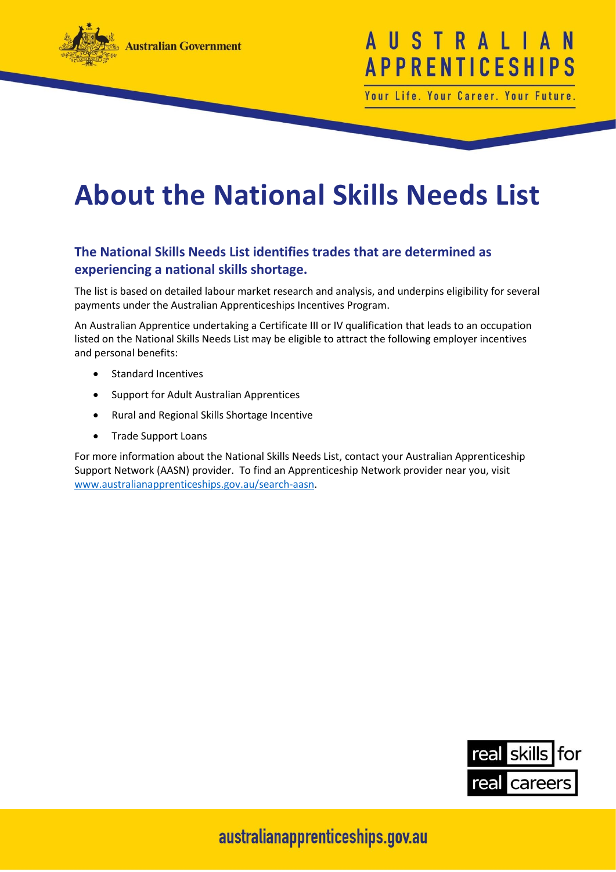

## USTRAL **APPRENTICESHI**

Your Life. Your Career. Your Future.

## **About the National Skills Needs List**

## **The National Skills Needs List identifies trades that are determined as experiencing a national skills shortage.**

The list is based on detailed labour market research and analysis, and underpins eligibility for several payments under the Australian Apprenticeships Incentives Program.

An Australian Apprentice undertaking a Certificate III or IV qualification that leads to an occupation listed on the National Skills Needs List may be eligible to attract the following employer incentives and personal benefits:

- Standard Incentives
- Support for Adult Australian Apprentices
- Rural and Regional Skills Shortage Incentive
- Trade Support Loans

For more information about the National Skills Needs List, contact your Australian Apprenticeship Support Network (AASN) provider. To find an Apprenticeship Network provider near you, visit [www.australianapprenticeships.gov.au/search-aasn.](http://www.australianapprenticeships.gov.au/search-aasn)



australianapprenticeships.gov.au